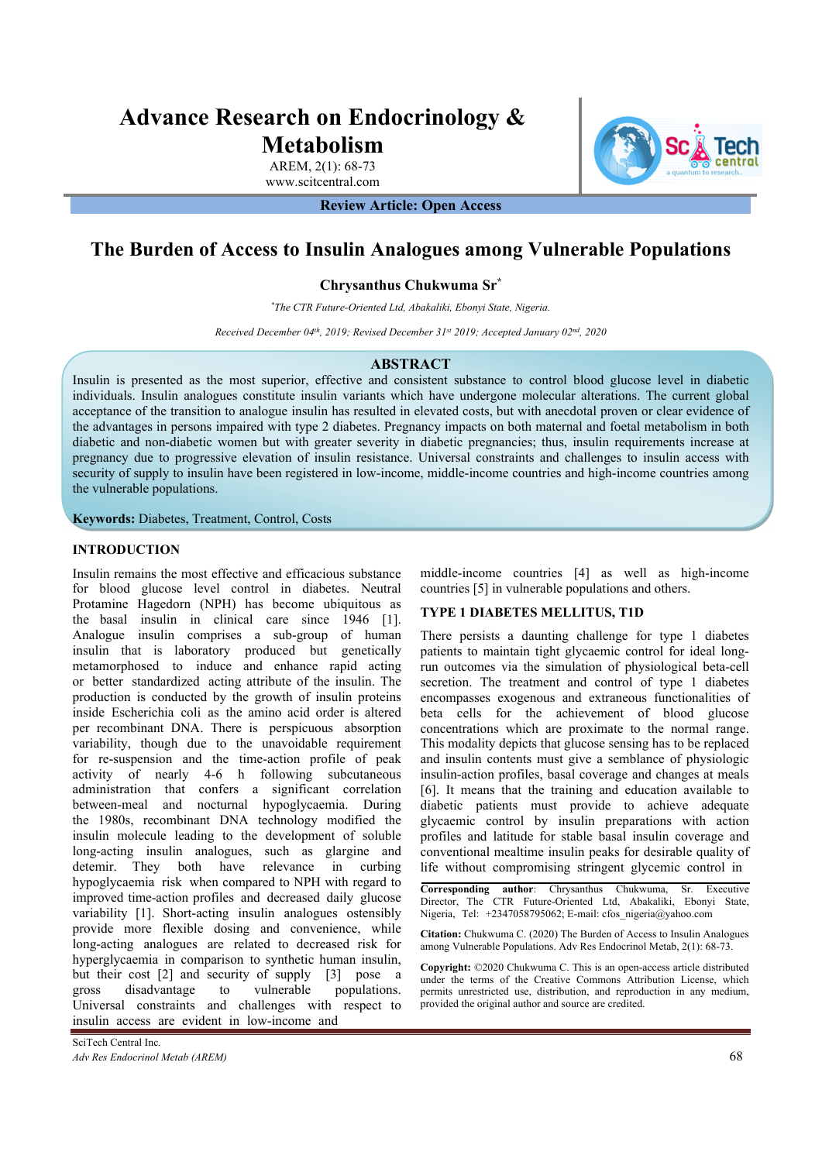# **Advance Research on Endocrinology & Metabolism**

AREM, 2(1): 68-73 www.scitcentral.com

**Review Article: Open Access** 

## **The Burden of Access to Insulin Analogues among Vulnerable Populations**

**Chrysanthus Chukwuma Sr\***

*\*The CTR Future-Oriented Ltd, Abakaliki, Ebonyi State, Nigeria.* 

*Received December 04 th , 2019; Revised December 31st 2019; Accepted January 02nd, 2020*

## **ABSTRACT**

Insulin is presented as the most superior, effective and consistent substance to control blood glucose level in diabetic individuals. Insulin analogues constitute insulin variants which have undergone molecular alterations. The current global acceptance of the transition to analogue insulin has resulted in elevated costs, but with anecdotal proven or clear evidence of the advantages in persons impaired with type 2 diabetes. Pregnancy impacts on both maternal and foetal metabolism in both diabetic and non-diabetic women but with greater severity in diabetic pregnancies; thus, insulin requirements increase at pregnancy due to progressive elevation of insulin resistance. Universal constraints and challenges to insulin access with security of supply to insulin have been registered in low-income, middle-income countries and high-income countries among the vulnerable populations.

**Keywords:** Diabetes, Treatment, Control, Costs

## **INTRODUCTION**

Insulin remains the most effective and efficacious substance for blood glucose level control in diabetes. Neutral Protamine Hagedorn (NPH) has become ubiquitous as the basal insulin in clinical care since 1946 [1]. Analogue insulin comprises a sub-group of human insulin that is laboratory produced but genetically metamorphosed to induce and enhance rapid acting or better standardized acting attribute of the insulin. The production is conducted by the growth of insulin proteins inside Escherichia coli as the amino acid order is altered per recombinant DNA. There is perspicuous absorption variability, though due to the unavoidable requirement for re-suspension and the time-action profile of peak activity of nearly 4-6 h following subcutaneous administration that confers a significant correlation between-meal and nocturnal hypoglycaemia. During the 1980s, recombinant DNA technology modified the insulin molecule leading to the development of soluble long-acting insulin analogues, such as glargine and detemir. They both have relevance in curbing hypoglycaemia risk when compared to NPH with regard to improved time-action profiles and decreased daily glucose variability [1]. Short-acting insulin analogues ostensibly provide more flexible dosing and convenience, while long-acting analogues are related to decreased risk for hyperglycaemia in comparison to synthetic human insulin, but their cost [2] and security of supply [3] pose a gross disadvantage to vulnerable populations. Universal constraints and challenges with respect to insulin access are evident in low-income and

middle-income countries [4] as well as high-income countries [5] in vulnerable populations and others.

## **TYPE 1 DIABETES MELLITUS, T1D**

There persists a daunting challenge for type 1 diabetes patients to maintain tight glycaemic control for ideal longrun outcomes via the simulation of physiological beta-cell secretion. The treatment and control of type 1 diabetes encompasses exogenous and extraneous functionalities of beta cells for the achievement of blood glucose concentrations which are proximate to the normal range. This modality depicts that glucose sensing has to be replaced and insulin contents must give a semblance of physiologic insulin-action profiles, basal coverage and changes at meals [6]. It means that the training and education available to diabetic patients must provide to achieve adequate glycaemic control by insulin preparations with action profiles and latitude for stable basal insulin coverage and conventional mealtime insulin peaks for desirable quality of life without compromising stringent glycemic control in

**Corresponding author**: Chrysanthus Chukwuma, Sr. Executive Director, The CTR Future-Oriented Ltd, Abakaliki, Ebonyi State, Nigeria, Tel: +2347058795062; E-mail: cfos\_nigeria@yahoo.com

**Citation:** Chukwuma C. (2020) The Burden of Access to Insulin Analogues among Vulnerable Populations. Adv Res Endocrinol Metab, 2(1): 68-73.

**Copyright:** ©2020 Chukwuma C. This is an open-access article distributed under the terms of the Creative Commons Attribution License, which permits unrestricted use, distribution, and reproduction in any medium, provided the original author and source are credited.

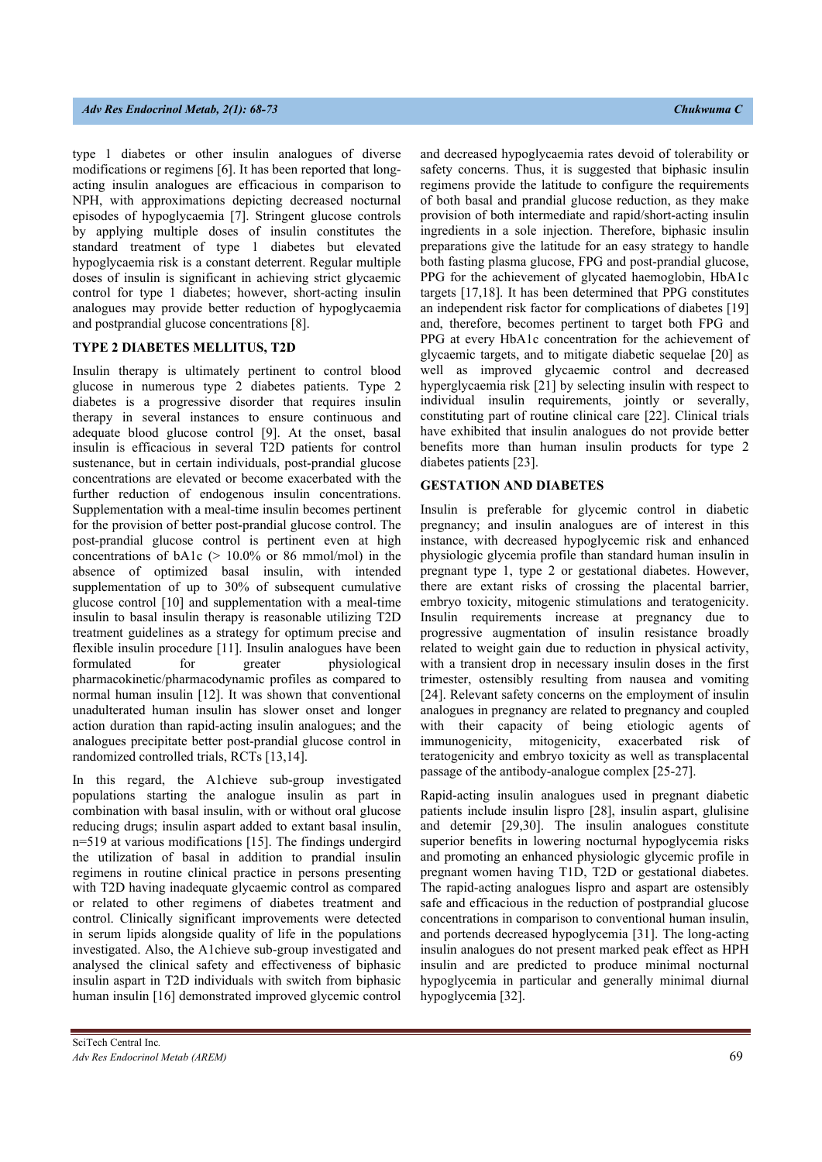type 1 diabetes or other insulin analogues of diverse modifications or regimens [6]. It has been reported that longacting insulin analogues are efficacious in comparison to NPH, with approximations depicting decreased nocturnal episodes of hypoglycaemia [7]. Stringent glucose controls by applying multiple doses of insulin constitutes the standard treatment of type 1 diabetes but elevated hypoglycaemia risk is a constant deterrent. Regular multiple doses of insulin is significant in achieving strict glycaemic control for type 1 diabetes; however, short-acting insulin analogues may provide better reduction of hypoglycaemia and postprandial glucose concentrations [8].

## **TYPE 2 DIABETES MELLITUS, T2D**

Insulin therapy is ultimately pertinent to control blood glucose in numerous type 2 diabetes patients. Type 2 diabetes is a progressive disorder that requires insulin therapy in several instances to ensure continuous and adequate blood glucose control [9]. At the onset, basal insulin is efficacious in several T2D patients for control sustenance, but in certain individuals, post-prandial glucose concentrations are elevated or become exacerbated with the further reduction of endogenous insulin concentrations. Supplementation with a meal-time insulin becomes pertinent for the provision of better post-prandial glucose control. The post-prandial glucose control is pertinent even at high concentrations of  $bA1c$  ( $> 10.0\%$  or 86 mmol/mol) in the absence of optimized basal insulin, with intended supplementation of up to 30% of subsequent cumulative glucose control [10] and supplementation with a meal-time insulin to basal insulin therapy is reasonable utilizing T2D treatment guidelines as a strategy for optimum precise and flexible insulin procedure [11]. Insulin analogues have been formulated for greater physiological pharmacokinetic/pharmacodynamic profiles as compared to normal human insulin [12]. It was shown that conventional unadulterated human insulin has slower onset and longer action duration than rapid-acting insulin analogues; and the analogues precipitate better post-prandial glucose control in randomized controlled trials, RCTs [13,14].

In this regard, the A1chieve sub-group investigated populations starting the analogue insulin as part in combination with basal insulin, with or without oral glucose reducing drugs; insulin aspart added to extant basal insulin, n=519 at various modifications [15]. The findings undergird the utilization of basal in addition to prandial insulin regimens in routine clinical practice in persons presenting with T2D having inadequate glycaemic control as compared or related to other regimens of diabetes treatment and control. Clinically significant improvements were detected in serum lipids alongside quality of life in the populations investigated. Also, the A1chieve sub-group investigated and analysed the clinical safety and effectiveness of biphasic insulin aspart in T2D individuals with switch from biphasic human insulin [16] demonstrated improved glycemic control

and decreased hypoglycaemia rates devoid of tolerability or safety concerns. Thus, it is suggested that biphasic insulin regimens provide the latitude to configure the requirements of both basal and prandial glucose reduction, as they make provision of both intermediate and rapid/short-acting insulin ingredients in a sole injection. Therefore, biphasic insulin preparations give the latitude for an easy strategy to handle both fasting plasma glucose, FPG and post-prandial glucose, PPG for the achievement of glycated haemoglobin, HbA1c targets [17,18]. It has been determined that PPG constitutes an independent risk factor for complications of diabetes [19] and, therefore, becomes pertinent to target both FPG and PPG at every HbA1c concentration for the achievement of glycaemic targets, and to mitigate diabetic sequelae [20] as well as improved glycaemic control and decreased hyperglycaemia risk [21] by selecting insulin with respect to individual insulin requirements, jointly or severally, constituting part of routine clinical care [22]. Clinical trials have exhibited that insulin analogues do not provide better benefits more than human insulin products for type 2 diabetes patients [23].

## **GESTATION AND DIABETES**

Insulin is preferable for glycemic control in diabetic pregnancy; and insulin analogues are of interest in this instance, with decreased hypoglycemic risk and enhanced physiologic glycemia profile than standard human insulin in pregnant type 1, type 2 or gestational diabetes. However, there are extant risks of crossing the placental barrier, embryo toxicity, mitogenic stimulations and teratogenicity. Insulin requirements increase at pregnancy due to progressive augmentation of insulin resistance broadly related to weight gain due to reduction in physical activity, with a transient drop in necessary insulin doses in the first trimester, ostensibly resulting from nausea and vomiting [24]. Relevant safety concerns on the employment of insulin analogues in pregnancy are related to pregnancy and coupled with their capacity of being etiologic agents of immunogenicity, mitogenicity, exacerbated risk of teratogenicity and embryo toxicity as well as transplacental passage of the antibody-analogue complex [25-27].

Rapid-acting insulin analogues used in pregnant diabetic patients include insulin lispro [28], insulin aspart, glulisine and detemir [29,30]. The insulin analogues constitute superior benefits in lowering nocturnal hypoglycemia risks and promoting an enhanced physiologic glycemic profile in pregnant women having T1D, T2D or gestational diabetes. The rapid-acting analogues lispro and aspart are ostensibly safe and efficacious in the reduction of postprandial glucose concentrations in comparison to conventional human insulin, and portends decreased hypoglycemia [31]. The long-acting insulin analogues do not present marked peak effect as HPH insulin and are predicted to produce minimal nocturnal hypoglycemia in particular and generally minimal diurnal hypoglycemia [32].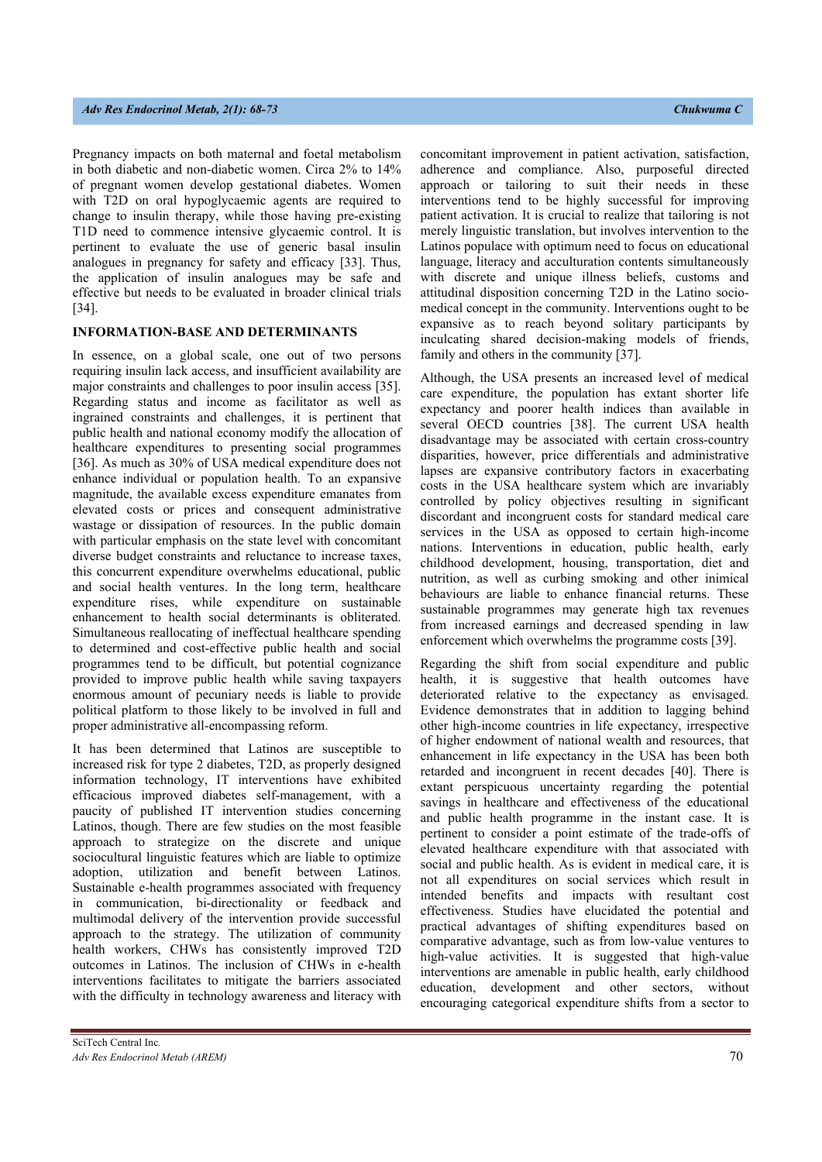Pregnancy impacts on both maternal and foetal metabolism in both diabetic and non-diabetic women. Circa 2% to 14% of pregnant women develop gestational diabetes. Women with T2D on oral hypoglycaemic agents are required to change to insulin therapy, while those having pre-existing T1D need to commence intensive glycaemic control. It is pertinent to evaluate the use of generic basal insulin analogues in pregnancy for safety and efficacy [33]. Thus, the application of insulin analogues may be safe and effective but needs to be evaluated in broader clinical trials [34].

## **INFORMATION-BASE AND DETERMINANTS**

In essence, on a global scale, one out of two persons requiring insulin lack access, and insufficient availability are major constraints and challenges to poor insulin access [35]. Regarding status and income as facilitator as well as ingrained constraints and challenges, it is pertinent that public health and national economy modify the allocation of healthcare expenditures to presenting social programmes [36]. As much as 30% of USA medical expenditure does not enhance individual or population health. To an expansive magnitude, the available excess expenditure emanates from elevated costs or prices and consequent administrative wastage or dissipation of resources. In the public domain with particular emphasis on the state level with concomitant diverse budget constraints and reluctance to increase taxes, this concurrent expenditure overwhelms educational, public and social health ventures. In the long term, healthcare expenditure rises, while expenditure on sustainable enhancement to health social determinants is obliterated. Simultaneous reallocating of ineffectual healthcare spending to determined and cost-effective public health and social programmes tend to be difficult, but potential cognizance provided to improve public health while saving taxpayers enormous amount of pecuniary needs is liable to provide political platform to those likely to be involved in full and proper administrative all-encompassing reform.

It has been determined that Latinos are susceptible to increased risk for type 2 diabetes, T2D, as properly designed information technology, IT interventions have exhibited efficacious improved diabetes self-management, with a paucity of published IT intervention studies concerning Latinos, though. There are few studies on the most feasible approach to strategize on the discrete and unique sociocultural linguistic features which are liable to optimize adoption, utilization and benefit between Latinos. Sustainable e-health programmes associated with frequency in communication, bi-directionality or feedback and multimodal delivery of the intervention provide successful approach to the strategy. The utilization of community health workers, CHWs has consistently improved T2D outcomes in Latinos. The inclusion of CHWs in e-health interventions facilitates to mitigate the barriers associated with the difficulty in technology awareness and literacy with

concomitant improvement in patient activation, satisfaction, adherence and compliance. Also, purposeful directed approach or tailoring to suit their needs in these interventions tend to be highly successful for improving patient activation. It is crucial to realize that tailoring is not merely linguistic translation, but involves intervention to the Latinos populace with optimum need to focus on educational language, literacy and acculturation contents simultaneously with discrete and unique illness beliefs, customs and attitudinal disposition concerning T2D in the Latino sociomedical concept in the community. Interventions ought to be expansive as to reach beyond solitary participants by inculcating shared decision-making models of friends, family and others in the community [37].

Although, the USA presents an increased level of medical care expenditure, the population has extant shorter life expectancy and poorer health indices than available in several OECD countries [38]. The current USA health disadvantage may be associated with certain cross-country disparities, however, price differentials and administrative lapses are expansive contributory factors in exacerbating costs in the USA healthcare system which are invariably controlled by policy objectives resulting in significant discordant and incongruent costs for standard medical care services in the USA as opposed to certain high-income nations. Interventions in education, public health, early childhood development, housing, transportation, diet and nutrition, as well as curbing smoking and other inimical behaviours are liable to enhance financial returns. These sustainable programmes may generate high tax revenues from increased earnings and decreased spending in law enforcement which overwhelms the programme costs [39].

Regarding the shift from social expenditure and public health, it is suggestive that health outcomes have deteriorated relative to the expectancy as envisaged. Evidence demonstrates that in addition to lagging behind other high-income countries in life expectancy, irrespective of higher endowment of national wealth and resources, that enhancement in life expectancy in the USA has been both retarded and incongruent in recent decades [40]. There is extant perspicuous uncertainty regarding the potential savings in healthcare and effectiveness of the educational and public health programme in the instant case. It is pertinent to consider a point estimate of the trade-offs of elevated healthcare expenditure with that associated with social and public health. As is evident in medical care, it is not all expenditures on social services which result in intended benefits and impacts with resultant cost effectiveness. Studies have elucidated the potential and practical advantages of shifting expenditures based on comparative advantage, such as from low-value ventures to high-value activities. It is suggested that high-value interventions are amenable in public health, early childhood education, development and other sectors, without encouraging categorical expenditure shifts from a sector to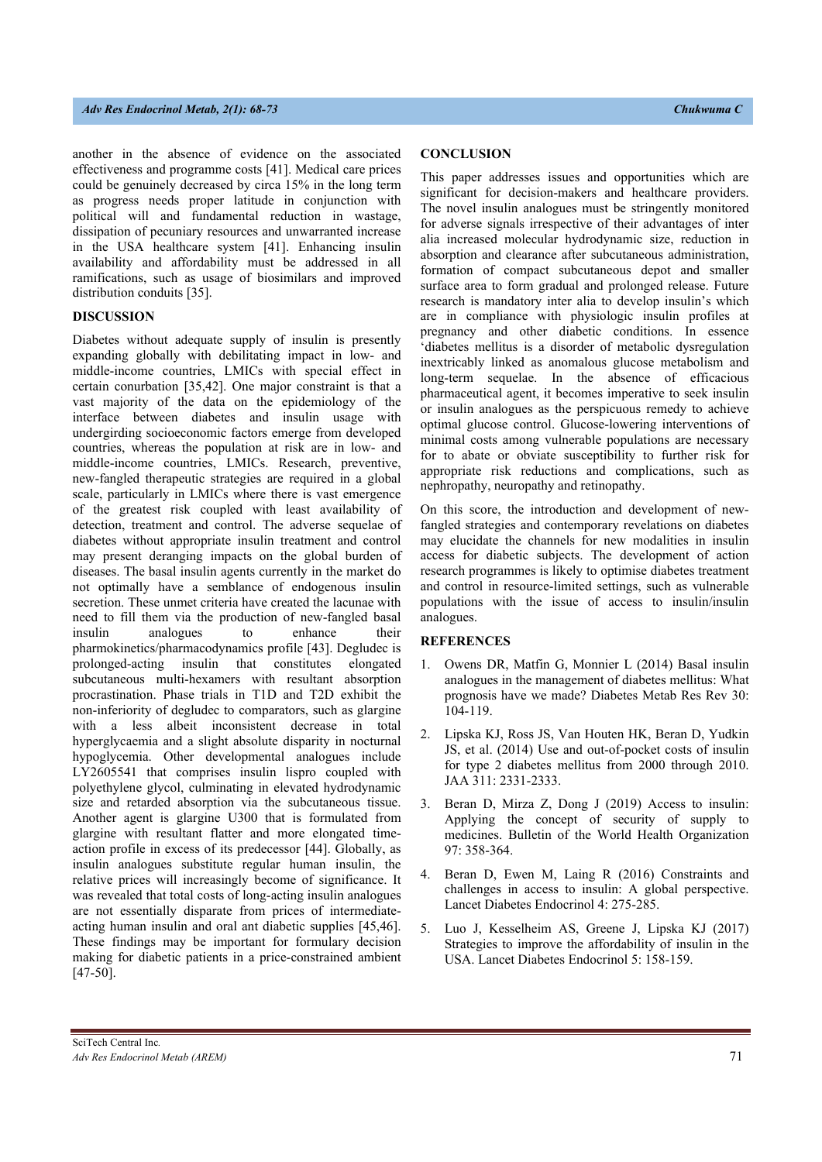## *Adv Res Endocrinol Metab, 2(1): 68-73 Chukwuma C*

another in the absence of evidence on the associated effectiveness and programme costs [41]. Medical care prices could be genuinely decreased by circa 15% in the long term as progress needs proper latitude in conjunction with political will and fundamental reduction in wastage, dissipation of pecuniary resources and unwarranted increase in the USA healthcare system [41]. Enhancing insulin availability and affordability must be addressed in all ramifications, such as usage of biosimilars and improved distribution conduits [35].

### **DISCUSSION**

Diabetes without adequate supply of insulin is presently expanding globally with debilitating impact in low- and middle-income countries, LMICs with special effect in certain conurbation [35,42]. One major constraint is that a vast majority of the data on the epidemiology of the interface between diabetes and insulin usage with undergirding socioeconomic factors emerge from developed countries, whereas the population at risk are in low- and middle-income countries, LMICs. Research, preventive, new-fangled therapeutic strategies are required in a global scale, particularly in LMICs where there is vast emergence of the greatest risk coupled with least availability of detection, treatment and control. The adverse sequelae of diabetes without appropriate insulin treatment and control may present deranging impacts on the global burden of diseases. The basal insulin agents currently in the market do not optimally have a semblance of endogenous insulin secretion. These unmet criteria have created the lacunae with need to fill them via the production of new-fangled basal insulin analogues to enhance their pharmokinetics/pharmacodynamics profile [43]. Degludec is prolonged-acting insulin that constitutes elongated subcutaneous multi-hexamers with resultant absorption procrastination. Phase trials in T1D and T2D exhibit the non-inferiority of degludec to comparators, such as glargine with a less albeit inconsistent decrease in total hyperglycaemia and a slight absolute disparity in nocturnal hypoglycemia. Other developmental analogues include LY2605541 that comprises insulin lispro coupled with polyethylene glycol, culminating in elevated hydrodynamic size and retarded absorption via the subcutaneous tissue. Another agent is glargine U300 that is formulated from glargine with resultant flatter and more elongated timeaction profile in excess of its predecessor [44]. Globally, as insulin analogues substitute regular human insulin, the relative prices will increasingly become of significance. It was revealed that total costs of long-acting insulin analogues are not essentially disparate from prices of intermediateacting human insulin and oral ant diabetic supplies [45,46]. These findings may be important for formulary decision making for diabetic patients in a price-constrained ambient [47-50].

## **CONCLUSION**

This paper addresses issues and opportunities which are significant for decision-makers and healthcare providers. The novel insulin analogues must be stringently monitored for adverse signals irrespective of their advantages of inter alia increased molecular hydrodynamic size, reduction in absorption and clearance after subcutaneous administration, formation of compact subcutaneous depot and smaller surface area to form gradual and prolonged release. Future research is mandatory inter alia to develop insulin's which are in compliance with physiologic insulin profiles at pregnancy and other diabetic conditions. In essence 'diabetes mellitus is a disorder of metabolic dysregulation inextricably linked as anomalous glucose metabolism and long-term sequelae. In the absence of efficacious pharmaceutical agent, it becomes imperative to seek insulin or insulin analogues as the perspicuous remedy to achieve optimal glucose control. Glucose-lowering interventions of minimal costs among vulnerable populations are necessary for to abate or obviate susceptibility to further risk for appropriate risk reductions and complications, such as nephropathy, neuropathy and retinopathy.

On this score, the introduction and development of newfangled strategies and contemporary revelations on diabetes may elucidate the channels for new modalities in insulin access for diabetic subjects. The development of action research programmes is likely to optimise diabetes treatment and control in resource-limited settings, such as vulnerable populations with the issue of access to insulin/insulin analogues.

## **REFERENCES**

- 1. Owens DR, Matfin G, Monnier L (2014) Basal insulin analogues in the management of diabetes mellitus: What prognosis have we made? Diabetes Metab Res Rev 30: 104-119.
- 2. Lipska KJ, Ross JS, Van Houten HK, Beran D, Yudkin JS, et al. (2014) Use and out-of-pocket costs of insulin for type 2 diabetes mellitus from 2000 through 2010. JAA 311: 2331-2333.
- 3. Beran D, Mirza Z, Dong J (2019) Access to insulin: Applying the concept of security of supply to medicines. Bulletin of the World Health Organization 97: 358-364.
- 4. Beran D, Ewen M, Laing R (2016) Constraints and challenges in access to insulin: A global perspective. Lancet Diabetes Endocrinol 4: 275-285.
- 5. Luo J, Kesselheim AS, Greene J, Lipska KJ (2017) Strategies to improve the affordability of insulin in the USA. Lancet Diabetes Endocrinol 5: 158-159.

SciTech Central Inc*. Adv Res Endocrinol Metab (AREM)* 71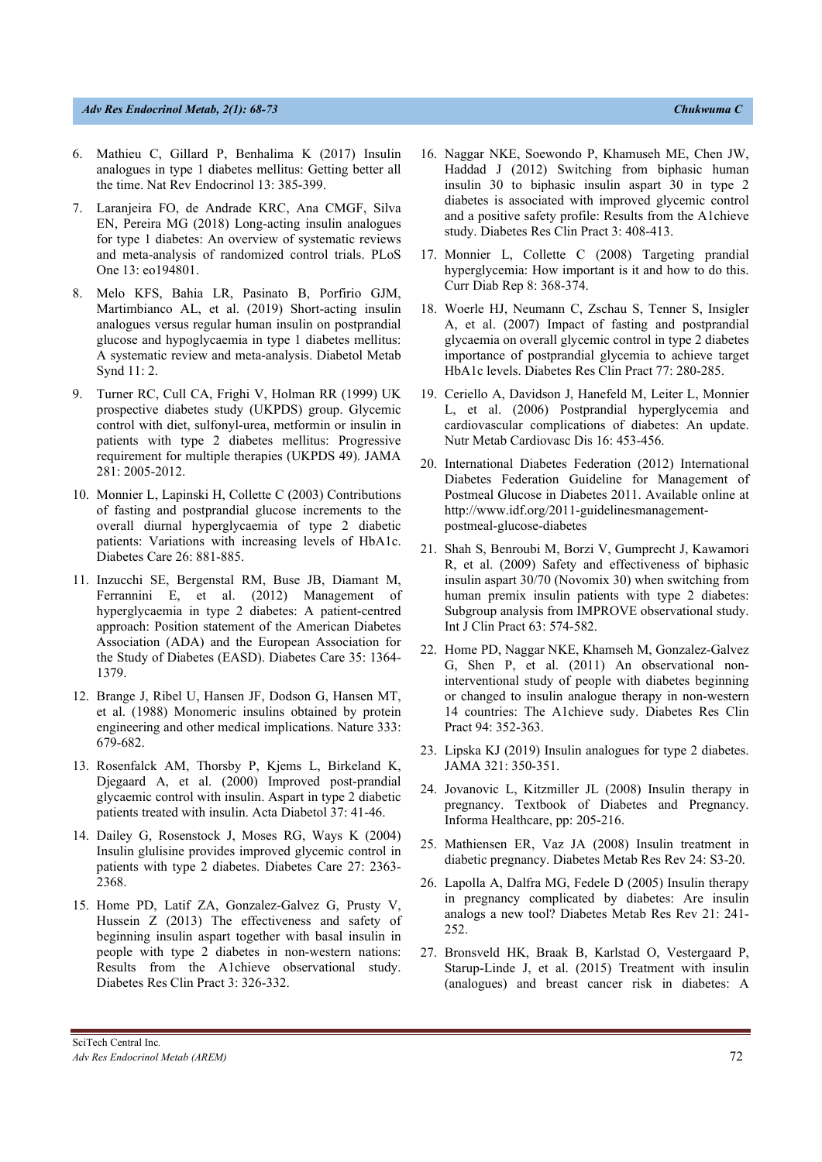## *Adv Res Endocrinol Metab, 2(1): 68-73 Chukwuma C*

- 6. Mathieu C, Gillard P, Benhalima K (2017) Insulin analogues in type 1 diabetes mellitus: Getting better all the time. Nat Rev Endocrinol 13: 385-399.
- 7. Laranjeira FO, de Andrade KRC, Ana CMGF, Silva EN, Pereira MG (2018) Long-acting insulin analogues for type 1 diabetes: An overview of systematic reviews and meta-analysis of randomized control trials. PLoS One 13: eo194801.
- 8. Melo KFS, Bahia LR, Pasinato B, Porfirio GJM, Martimbianco AL, et al. (2019) Short-acting insulin analogues versus regular human insulin on postprandial glucose and hypoglycaemia in type 1 diabetes mellitus: A systematic review and meta-analysis. Diabetol Metab Synd 11: 2.
- 9. Turner RC, Cull CA, Frighi V, Holman RR (1999) UK prospective diabetes study (UKPDS) group. Glycemic control with diet, sulfonyl-urea, metformin or insulin in patients with type 2 diabetes mellitus: Progressive requirement for multiple therapies (UKPDS 49). JAMA 281: 2005-2012.
- 10. Monnier L, Lapinski H, Collette C (2003) Contributions of fasting and postprandial glucose increments to the overall diurnal hyperglycaemia of type 2 diabetic patients: Variations with increasing levels of HbA1c. Diabetes Care 26: 881-885.
- 11. Inzucchi SE, Bergenstal RM, Buse JB, Diamant M, Ferrannini E, et al. (2012) Management of hyperglycaemia in type 2 diabetes: A patient-centred approach: Position statement of the American Diabetes Association (ADA) and the European Association for the Study of Diabetes (EASD). Diabetes Care 35: 1364- 1379.
- 12. Brange J, Ribel U, Hansen JF, Dodson G, Hansen MT, et al. (1988) Monomeric insulins obtained by protein engineering and other medical implications. Nature 333: 679-682.
- 13. Rosenfalck AM, Thorsby P, Kjems L, Birkeland K, Djegaard A, et al. (2000) Improved post-prandial glycaemic control with insulin. Aspart in type 2 diabetic patients treated with insulin. Acta Diabetol 37: 41-46.
- 14. Dailey G, Rosenstock J, Moses RG, Ways K (2004) Insulin glulisine provides improved glycemic control in patients with type 2 diabetes. Diabetes Care 27: 2363- 2368.
- 15. Home PD, Latif ZA, Gonzalez-Galvez G, Prusty V, Hussein Z (2013) The effectiveness and safety of beginning insulin aspart together with basal insulin in people with type 2 diabetes in non-western nations: Results from the A1chieve observational study. Diabetes Res Clin Pract 3: 326-332.
- 16. Naggar NKE, Soewondo P, Khamuseh ME, Chen JW, Haddad J (2012) Switching from biphasic human insulin 30 to biphasic insulin aspart 30 in type 2 diabetes is associated with improved glycemic control and a positive safety profile: Results from the A1chieve study. Diabetes Res Clin Pract 3: 408-413.
- 17. Monnier L, Collette C (2008) Targeting prandial hyperglycemia: How important is it and how to do this. Curr Diab Rep 8: 368-374.
- 18. Woerle HJ, Neumann C, Zschau S, Tenner S, Insigler A, et al. (2007) Impact of fasting and postprandial glycaemia on overall glycemic control in type 2 diabetes importance of postprandial glycemia to achieve target HbA1c levels. Diabetes Res Clin Pract 77: 280-285.
- 19. Ceriello A, Davidson J, Hanefeld M, Leiter L, Monnier L, et al. (2006) Postprandial hyperglycemia and cardiovascular complications of diabetes: An update. Nutr Metab Cardiovasc Dis 16: 453-456.
- 20. International Diabetes Federation (2012) International Diabetes Federation Guideline for Management of Postmeal Glucose in Diabetes 2011. Available online at http://www.idf.org/2011-guidelinesmanagementpostmeal-glucose-diabetes
- 21. Shah S, Benroubi M, Borzi V, Gumprecht J, Kawamori R, et al. (2009) Safety and effectiveness of biphasic insulin aspart 30/70 (Novomix 30) when switching from human premix insulin patients with type 2 diabetes: Subgroup analysis from IMPROVE observational study. Int J Clin Pract 63: 574-582.
- 22. Home PD, Naggar NKE, Khamseh M, Gonzalez-Galvez G, Shen P, et al. (2011) An observational noninterventional study of people with diabetes beginning or changed to insulin analogue therapy in non-western 14 countries: The A1chieve sudy. Diabetes Res Clin Pract 94: 352-363.
- 23. Lipska KJ (2019) Insulin analogues for type 2 diabetes. JAMA 321: 350-351.
- 24. Jovanovic L, Kitzmiller JL (2008) Insulin therapy in pregnancy. Textbook of Diabetes and Pregnancy. Informa Healthcare, pp: 205-216.
- 25. Mathiensen ER, Vaz JA (2008) Insulin treatment in diabetic pregnancy. Diabetes Metab Res Rev 24: S3-20.
- 26. Lapolla A, Dalfra MG, Fedele D (2005) Insulin therapy in pregnancy complicated by diabetes: Are insulin analogs a new tool? Diabetes Metab Res Rev 21: 241- 252.
- 27. Bronsveld HK, Braak B, Karlstad O, Vestergaard P, Starup-Linde J, et al. (2015) Treatment with insulin (analogues) and breast cancer risk in diabetes: A